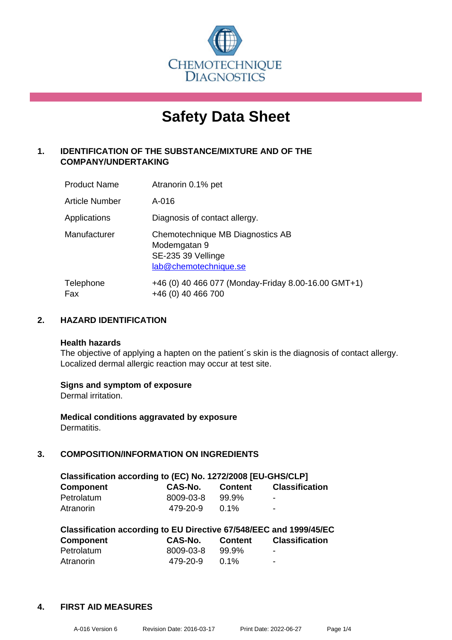

# **Safety Data Sheet**

## **1. IDENTIFICATION OF THE SUBSTANCE/MIXTURE AND OF THE COMPANY/UNDERTAKING**

| <b>Product Name</b>   | Atranorin 0.1% pet                                                                              |
|-----------------------|-------------------------------------------------------------------------------------------------|
| <b>Article Number</b> | A-016                                                                                           |
| Applications          | Diagnosis of contact allergy.                                                                   |
| Manufacturer          | Chemotechnique MB Diagnostics AB<br>Modemgatan 9<br>SE-235 39 Vellinge<br>lab@chemotechnique.se |
| Telephone<br>Fax      | +46 (0) 40 466 077 (Monday-Friday 8.00-16.00 GMT+1)<br>+46 (0) 40 466 700                       |

## **2. HAZARD IDENTIFICATION**

#### **Health hazards**

The objective of applying a hapten on the patient's skin is the diagnosis of contact allergy. Localized dermal allergic reaction may occur at test site.

## **Signs and symptom of exposure**

Dermal irritation.

**Medical conditions aggravated by exposure** Dermatitis.

## **3. COMPOSITION/INFORMATION ON INGREDIENTS**

| Classification according to (EC) No. 1272/2008 [EU-GHS/CLP] |           |                |                          |  |
|-------------------------------------------------------------|-----------|----------------|--------------------------|--|
| <b>Component</b>                                            | CAS-No.   | <b>Content</b> | <b>Classification</b>    |  |
| Petrolatum                                                  | 8009-03-8 | 99.9%          | $\blacksquare$           |  |
| Atranorin                                                   | 479-20-9  | $0.1\%$        | $\overline{\phantom{a}}$ |  |

| Classification according to EU Directive 67/548/EEC and 1999/45/EC |                |                |                       |  |  |
|--------------------------------------------------------------------|----------------|----------------|-----------------------|--|--|
| <b>Component</b>                                                   | <b>CAS-No.</b> | <b>Content</b> | <b>Classification</b> |  |  |
| Petrolatum                                                         | 8009-03-8      | 99.9%          | ٠                     |  |  |
| Atranorin                                                          | 479-20-9       | $0.1\%$        | ٠                     |  |  |

#### **4. FIRST AID MEASURES**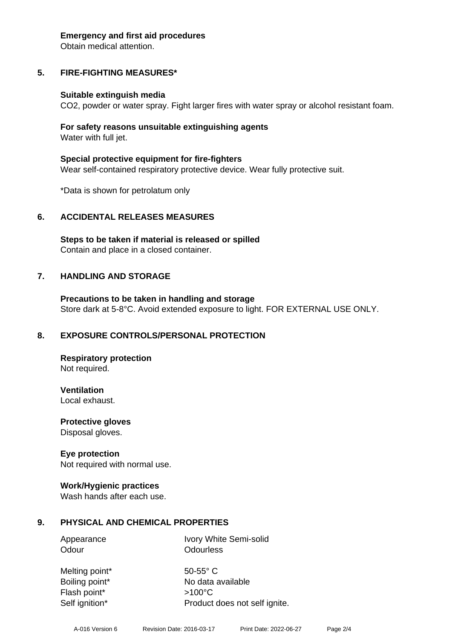#### **Emergency and first aid procedures**

Obtain medical attention.

# **5. FIRE-FIGHTING MEASURES\***

## **Suitable extinguish media**

CO2, powder or water spray. Fight larger fires with water spray or alcohol resistant foam.

## **For safety reasons unsuitable extinguishing agents** Water with full jet.

**Special protective equipment for fire-fighters** Wear self-contained respiratory protective device. Wear fully protective suit.

\*Data is shown for petrolatum only

# **6. ACCIDENTAL RELEASES MEASURES**

**Steps to be taken if material is released or spilled** Contain and place in a closed container.

# **7. HANDLING AND STORAGE**

**Precautions to be taken in handling and storage** Store dark at 5-8°C. Avoid extended exposure to light. FOR EXTERNAL USE ONLY.

# **8. EXPOSURE CONTROLS/PERSONAL PROTECTION**

**Respiratory protection** Not required.

**Ventilation** Local exhaust.

**Protective gloves** Disposal gloves.

## **Eye protection**

Not required with normal use.

## **Work/Hygienic practices**

Wash hands after each use.

# **9. PHYSICAL AND CHEMICAL PROPERTIES**

Appearance Ivory White Semi-solid Odour **Odourless** 

Melting point\* 50-55° C Flash point\* >100°C Self ignition\* Product does not self ignite.

Boiling point\* No data available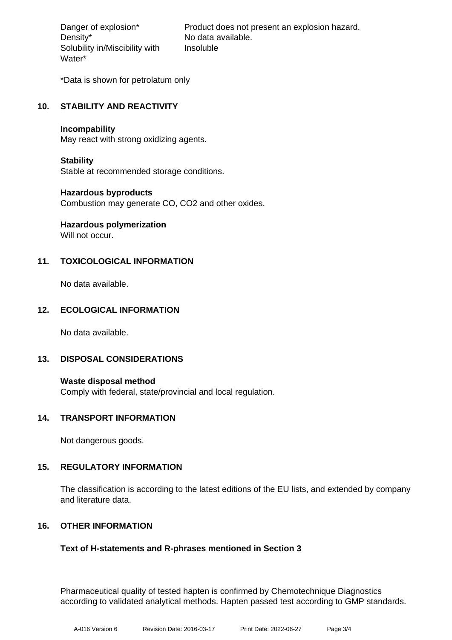Density\* No data available. Solubility in/Miscibility with Water\*

Danger of explosion\* Product does not present an explosion hazard. Insoluble

\*Data is shown for petrolatum only

## **10. STABILITY AND REACTIVITY**

#### **Incompability**

May react with strong oxidizing agents.

## **Stability**

Stable at recommended storage conditions.

## **Hazardous byproducts**

Combustion may generate CO, CO2 and other oxides.

# **Hazardous polymerization**

Will not occur.

## **11. TOXICOLOGICAL INFORMATION**

No data available.

## **12. ECOLOGICAL INFORMATION**

No data available.

## **13. DISPOSAL CONSIDERATIONS**

**Waste disposal method** Comply with federal, state/provincial and local regulation.

## **14. TRANSPORT INFORMATION**

Not dangerous goods.

## **15. REGULATORY INFORMATION**

The classification is according to the latest editions of the EU lists, and extended by company and literature data.

## **16. OTHER INFORMATION**

## **Text of H-statements and R-phrases mentioned in Section 3**

Pharmaceutical quality of tested hapten is confirmed by Chemotechnique Diagnostics according to validated analytical methods. Hapten passed test according to GMP standards.